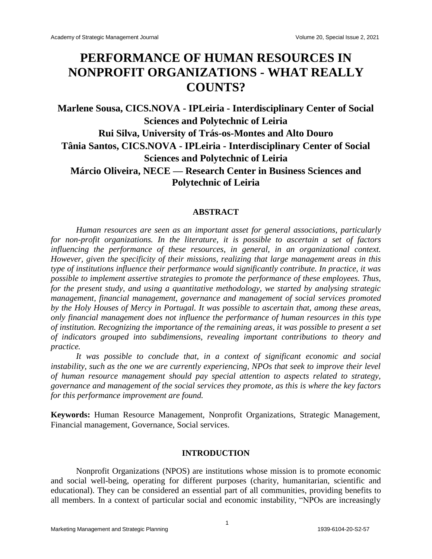# **PERFORMANCE OF HUMAN RESOURCES IN NONPROFIT ORGANIZATIONS - WHAT REALLY COUNTS?**

**Marlene Sousa, CICS.NOVA - IPLeiria - Interdisciplinary Center of Social Sciences and Polytechnic of Leiria Rui Silva, University of Trás-os-Montes and Alto Douro Tânia Santos, CICS.NOVA - IPLeiria - Interdisciplinary Center of Social Sciences and Polytechnic of Leiria Márcio Oliveira, NECE — Research Center in Business Sciences and Polytechnic of Leiria**

#### **ABSTRACT**

*Human resources are seen as an important asset for general associations, particularly for non-profit organizations. In the literature, it is possible to ascertain a set of factors influencing the performance of these resources, in general, in an organizational context. However, given the specificity of their missions, realizing that large management areas in this type of institutions influence their performance would significantly contribute. In practice, it was possible to implement assertive strategies to promote the performance of these employees. Thus, for the present study, and using a quantitative methodology, we started by analysing strategic management, financial management, governance and management of social services promoted by the Holy Houses of Mercy in Portugal. It was possible to ascertain that, among these areas, only financial management does not influence the performance of human resources in this type of institution. Recognizing the importance of the remaining areas, it was possible to present a set of indicators grouped into subdimensions, revealing important contributions to theory and practice.*

*It was possible to conclude that, in a context of significant economic and social instability, such as the one we are currently experiencing, NPOs that seek to improve their level of human resource management should pay special attention to aspects related to strategy, governance and management of the social services they promote, as this is where the key factors for this performance improvement are found.*

**Keywords:** Human Resource Management, Nonprofit Organizations, Strategic Management, Financial management, Governance, Social services.

#### **INTRODUCTION**

Nonprofit Organizations (NPOS) are institutions whose mission is to promote economic and social well-being, operating for different purposes (charity, humanitarian, scientific and educational). They can be considered an essential part of all communities, providing benefits to all members. In a context of particular social and economic instability, "NPOs are increasingly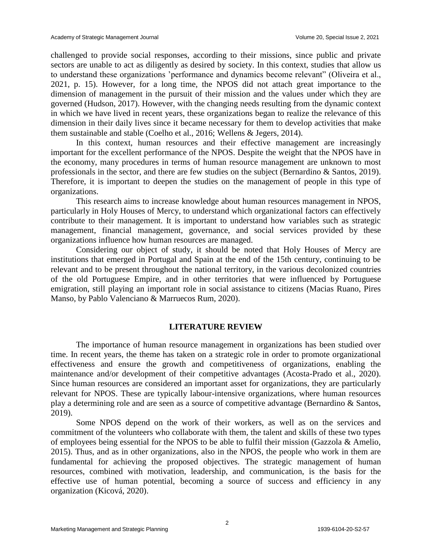challenged to provide social responses, according to their missions, since public and private sectors are unable to act as diligently as desired by society. In this context, studies that allow us to understand these organizations 'performance and dynamics become relevant'' (Oliveira et al., 2021, p. 15). However, for a long time, the NPOS did not attach great importance to the dimension of management in the pursuit of their mission and the values under which they are governed (Hudson, 2017). However, with the changing needs resulting from the dynamic context in which we have lived in recent years, these organizations began to realize the relevance of this dimension in their daily lives since it became necessary for them to develop activities that make them sustainable and stable (Coelho et al., 2016; Wellens & Jegers, 2014).

In this context, human resources and their effective management are increasingly important for the excellent performance of the NPOS. Despite the weight that the NPOS have in the economy, many procedures in terms of human resource management are unknown to most professionals in the sector, and there are few studies on the subject (Bernardino & Santos, 2019). Therefore, it is important to deepen the studies on the management of people in this type of organizations.

This research aims to increase knowledge about human resources management in NPOS, particularly in Holy Houses of Mercy, to understand which organizational factors can effectively contribute to their management. It is important to understand how variables such as strategic management, financial management, governance, and social services provided by these organizations influence how human resources are managed.

Considering our object of study, it should be noted that Holy Houses of Mercy are institutions that emerged in Portugal and Spain at the end of the 15th century, continuing to be relevant and to be present throughout the national territory, in the various decolonized countries of the old Portuguese Empire, and in other territories that were influenced by Portuguese emigration, still playing an important role in social assistance to citizens (Macias Ruano, Pires Manso, by Pablo Valenciano & Marruecos Rum, 2020).

# **LITERATURE REVIEW**

The importance of human resource management in organizations has been studied over time. In recent years, the theme has taken on a strategic role in order to promote organizational effectiveness and ensure the growth and competitiveness of organizations, enabling the maintenance and/or development of their competitive advantages (Acosta-Prado et al., 2020). Since human resources are considered an important asset for organizations, they are particularly relevant for NPOS. These are typically labour-intensive organizations, where human resources play a determining role and are seen as a source of competitive advantage (Bernardino & Santos, 2019).

Some NPOS depend on the work of their workers, as well as on the services and commitment of the volunteers who collaborate with them, the talent and skills of these two types of employees being essential for the NPOS to be able to fulfil their mission (Gazzola & Amelio, 2015). Thus, and as in other organizations, also in the NPOS, the people who work in them are fundamental for achieving the proposed objectives. The strategic management of human resources, combined with motivation, leadership, and communication, is the basis for the effective use of human potential, becoming a source of success and efficiency in any organization (Kicová, 2020).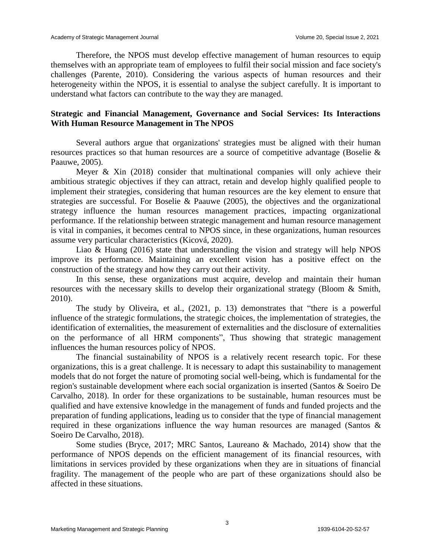Therefore, the NPOS must develop effective management of human resources to equip themselves with an appropriate team of employees to fulfil their social mission and face society's challenges (Parente, 2010). Considering the various aspects of human resources and their heterogeneity within the NPOS, it is essential to analyse the subject carefully. It is important to understand what factors can contribute to the way they are managed.

# **Strategic and Financial Management, Governance and Social Services: Its Interactions With Human Resource Management in The NPOS**

Several authors argue that organizations' strategies must be aligned with their human resources practices so that human resources are a source of competitive advantage (Boselie & Paauwe, 2005).

Meyer  $\&$  Xin (2018) consider that multinational companies will only achieve their ambitious strategic objectives if they can attract, retain and develop highly qualified people to implement their strategies, considering that human resources are the key element to ensure that strategies are successful. For Boselie & Paauwe (2005), the objectives and the organizational strategy influence the human resources management practices, impacting organizational performance. If the relationship between strategic management and human resource management is vital in companies, it becomes central to NPOS since, in these organizations, human resources assume very particular characteristics (Kicová, 2020).

Liao & Huang (2016) state that understanding the vision and strategy will help NPOS improve its performance. Maintaining an excellent vision has a positive effect on the construction of the strategy and how they carry out their activity.

In this sense, these organizations must acquire, develop and maintain their human resources with the necessary skills to develop their organizational strategy (Bloom & Smith, 2010).

The study by Oliveira, et al.,  $(2021, p. 13)$  demonstrates that "there is a powerful influence of the strategic formulations, the strategic choices, the implementation of strategies, the identification of externalities, the measurement of externalities and the disclosure of externalities on the performance of all HRM components", Thus showing that strategic management influences the human resources policy of NPOS.

The financial sustainability of NPOS is a relatively recent research topic. For these organizations, this is a great challenge. It is necessary to adapt this sustainability to management models that do not forget the nature of promoting social well-being, which is fundamental for the region's sustainable development where each social organization is inserted (Santos & Soeiro De Carvalho, 2018). In order for these organizations to be sustainable, human resources must be qualified and have extensive knowledge in the management of funds and funded projects and the preparation of funding applications, leading us to consider that the type of financial management required in these organizations influence the way human resources are managed (Santos & Soeiro De Carvalho, 2018).

Some studies (Bryce, 2017; MRC Santos, Laureano & Machado, 2014) show that the performance of NPOS depends on the efficient management of its financial resources, with limitations in services provided by these organizations when they are in situations of financial fragility. The management of the people who are part of these organizations should also be affected in these situations.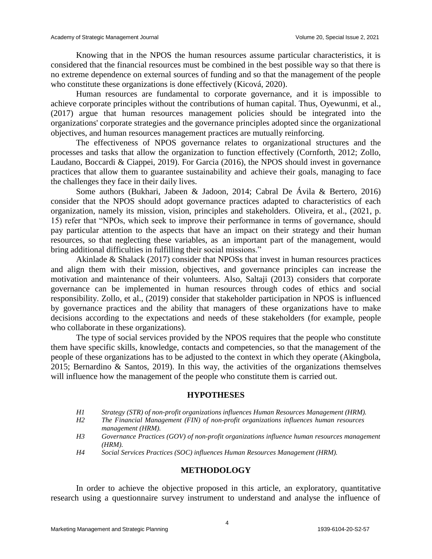Knowing that in the NPOS the human resources assume particular characteristics, it is considered that the financial resources must be combined in the best possible way so that there is no extreme dependence on external sources of funding and so that the management of the people who constitute these organizations is done effectively (Kicová, 2020).

Human resources are fundamental to corporate governance, and it is impossible to achieve corporate principles without the contributions of human capital. Thus, Oyewunmi, et al., (2017) argue that human resources management policies should be integrated into the organizations' corporate strategies and the governance principles adopted since the organizational objectives, and human resources management practices are mutually reinforcing.

The effectiveness of NPOS governance relates to organizational structures and the processes and tasks that allow the organization to function effectively (Cornforth, 2012; Zollo, Laudano, Boccardi & Ciappei, 2019). For Garcia (2016), the NPOS should invest in governance practices that allow them to guarantee sustainability and achieve their goals, managing to face the challenges they face in their daily lives.

Some authors (Bukhari, Jabeen & Jadoon, 2014; Cabral De Ávila & Bertero, 2016) consider that the NPOS should adopt governance practices adapted to characteristics of each organization, namely its mission, vision, principles and stakeholders. Oliveira, et al., (2021, p. 15) refer that "NPOs, which seek to improve their performance in terms of governance, should pay particular attention to the aspects that have an impact on their strategy and their human resources, so that neglecting these variables, as an important part of the management, would bring additional difficulties in fulfilling their social missions."

Akinlade & Shalack (2017) consider that NPOSs that invest in human resources practices and align them with their mission, objectives, and governance principles can increase the motivation and maintenance of their volunteers. Also, Saltaji (2013) considers that corporate governance can be implemented in human resources through codes of ethics and social responsibility. Zollo, et al., (2019) consider that stakeholder participation in NPOS is influenced by governance practices and the ability that managers of these organizations have to make decisions according to the expectations and needs of these stakeholders (for example, people who collaborate in these organizations).

The type of social services provided by the NPOS requires that the people who constitute them have specific skills, knowledge, contacts and competencies, so that the management of the people of these organizations has to be adjusted to the context in which they operate (Akingbola, 2015; Bernardino & Santos, 2019). In this way, the activities of the organizations themselves will influence how the management of the people who constitute them is carried out.

#### **HYPOTHESES**

- *H1 Strategy (STR) of non-profit organizations influences Human Resources Management (HRM).*
- *H2 The Financial Management (FIN) of non-profit organizations influences human resources management (HRM).*
- *H3 Governance Practices (GOV) of non-profit organizations influence human resources management (HRM).*
- *H4 Social Services Practices (SOC) influences Human Resources Management (HRM).*

# **METHODOLOGY**

In order to achieve the objective proposed in this article, an exploratory, quantitative research using a questionnaire survey instrument to understand and analyse the influence of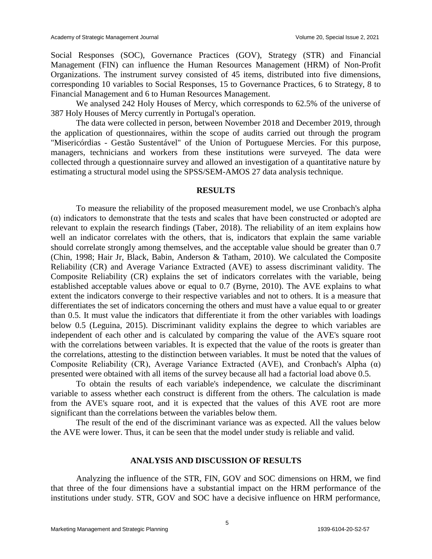Social Responses (SOC), Governance Practices (GOV), Strategy (STR) and Financial Management (FIN) can influence the Human Resources Management (HRM) of Non-Profit Organizations. The instrument survey consisted of 45 items, distributed into five dimensions, corresponding 10 variables to Social Responses, 15 to Governance Practices, 6 to Strategy, 8 to Financial Management and 6 to Human Resources Management.

We analysed 242 Holy Houses of Mercy, which corresponds to 62.5% of the universe of 387 Holy Houses of Mercy currently in Portugal's operation.

The data were collected in person, between November 2018 and December 2019, through the application of questionnaires, within the scope of audits carried out through the program "Misericórdias - Gestão Sustentável" of the Union of Portuguese Mercies. For this purpose, managers, technicians and workers from these institutions were surveyed. The data were collected through a questionnaire survey and allowed an investigation of a quantitative nature by estimating a structural model using the SPSS/SEM-AMOS 27 data analysis technique.

# **RESULTS**

To measure the reliability of the proposed measurement model, we use Cronbach's alpha (α) indicators to demonstrate that the tests and scales that have been constructed or adopted are relevant to explain the research findings (Taber, 2018). The reliability of an item explains how well an indicator correlates with the others, that is, indicators that explain the same variable should correlate strongly among themselves, and the acceptable value should be greater than 0.7 (Chin, 1998; Hair Jr, Black, Babin, Anderson & Tatham, 2010). We calculated the Composite Reliability (CR) and Average Variance Extracted (AVE) to assess discriminant validity. The Composite Reliability (CR) explains the set of indicators correlates with the variable, being established acceptable values above or equal to 0.7 (Byrne, 2010). The AVE explains to what extent the indicators converge to their respective variables and not to others. It is a measure that differentiates the set of indicators concerning the others and must have a value equal to or greater than 0.5. It must value the indicators that differentiate it from the other variables with loadings below 0.5 (Leguina, 2015). Discriminant validity explains the degree to which variables are independent of each other and is calculated by comparing the value of the AVE's square root with the correlations between variables. It is expected that the value of the roots is greater than the correlations, attesting to the distinction between variables. It must be noted that the values of Composite Reliability (CR), Average Variance Extracted (AVE), and Cronbach's Alpha (α) presented were obtained with all items of the survey because all had a factorial load above 0.5.

To obtain the results of each variable's independence, we calculate the discriminant variable to assess whether each construct is different from the others. The calculation is made from the AVE's square root, and it is expected that the values of this AVE root are more significant than the correlations between the variables below them.

The result of the end of the discriminant variance was as expected. All the values below the AVE were lower. Thus, it can be seen that the model under study is reliable and valid.

#### **ANALYSIS AND DISCUSSION OF RESULTS**

Analyzing the influence of the STR, FIN, GOV and SOC dimensions on HRM, we find that three of the four dimensions have a substantial impact on the HRM performance of the institutions under study. STR, GOV and SOC have a decisive influence on HRM performance,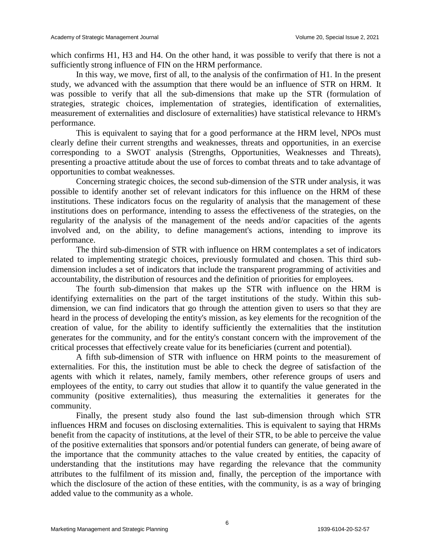which confirms H1, H3 and H4. On the other hand, it was possible to verify that there is not a sufficiently strong influence of FIN on the HRM performance.

In this way, we move, first of all, to the analysis of the confirmation of H1. In the present study, we advanced with the assumption that there would be an influence of STR on HRM. It was possible to verify that all the sub-dimensions that make up the STR (formulation of strategies, strategic choices, implementation of strategies, identification of externalities, measurement of externalities and disclosure of externalities) have statistical relevance to HRM's performance.

This is equivalent to saying that for a good performance at the HRM level, NPOs must clearly define their current strengths and weaknesses, threats and opportunities, in an exercise corresponding to a SWOT analysis (Strengths, Opportunities, Weaknesses and Threats), presenting a proactive attitude about the use of forces to combat threats and to take advantage of opportunities to combat weaknesses.

Concerning strategic choices, the second sub-dimension of the STR under analysis, it was possible to identify another set of relevant indicators for this influence on the HRM of these institutions. These indicators focus on the regularity of analysis that the management of these institutions does on performance, intending to assess the effectiveness of the strategies, on the regularity of the analysis of the management of the needs and/or capacities of the agents involved and, on the ability, to define management's actions, intending to improve its performance.

The third sub-dimension of STR with influence on HRM contemplates a set of indicators related to implementing strategic choices, previously formulated and chosen. This third subdimension includes a set of indicators that include the transparent programming of activities and accountability, the distribution of resources and the definition of priorities for employees.

The fourth sub-dimension that makes up the STR with influence on the HRM is identifying externalities on the part of the target institutions of the study. Within this subdimension, we can find indicators that go through the attention given to users so that they are heard in the process of developing the entity's mission, as key elements for the recognition of the creation of value, for the ability to identify sufficiently the externalities that the institution generates for the community, and for the entity's constant concern with the improvement of the critical processes that effectively create value for its beneficiaries (current and potential).

A fifth sub-dimension of STR with influence on HRM points to the measurement of externalities. For this, the institution must be able to check the degree of satisfaction of the agents with which it relates, namely, family members, other reference groups of users and employees of the entity, to carry out studies that allow it to quantify the value generated in the community (positive externalities), thus measuring the externalities it generates for the community.

Finally, the present study also found the last sub-dimension through which STR influences HRM and focuses on disclosing externalities. This is equivalent to saying that HRMs benefit from the capacity of institutions, at the level of their STR, to be able to perceive the value of the positive externalities that sponsors and/or potential funders can generate, of being aware of the importance that the community attaches to the value created by entities, the capacity of understanding that the institutions may have regarding the relevance that the community attributes to the fulfilment of its mission and, finally, the perception of the importance with which the disclosure of the action of these entities, with the community, is as a way of bringing added value to the community as a whole.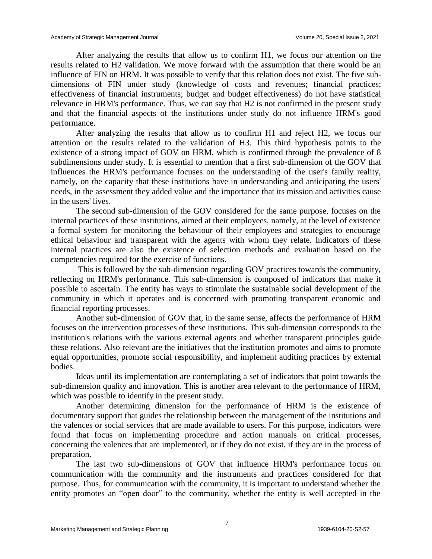After analyzing the results that allow us to confirm H1, we focus our attention on the results related to H2 validation. We move forward with the assumption that there would be an influence of FIN on HRM. It was possible to verify that this relation does not exist. The five subdimensions of FIN under study (knowledge of costs and revenues; financial practices; effectiveness of financial instruments; budget and budget effectiveness) do not have statistical relevance in HRM's performance. Thus, we can say that H2 is not confirmed in the present study and that the financial aspects of the institutions under study do not influence HRM's good performance.

After analyzing the results that allow us to confirm H1 and reject H2, we focus our attention on the results related to the validation of H3. This third hypothesis points to the existence of a strong impact of GOV on HRM, which is confirmed through the prevalence of 8 subdimensions under study. It is essential to mention that a first sub-dimension of the GOV that influences the HRM's performance focuses on the understanding of the user's family reality, namely, on the capacity that these institutions have in understanding and anticipating the users' needs, in the assessment they added value and the importance that its mission and activities cause in the users' lives.

The second sub-dimension of the GOV considered for the same purpose, focuses on the internal practices of these institutions, aimed at their employees, namely, at the level of existence a formal system for monitoring the behaviour of their employees and strategies to encourage ethical behaviour and transparent with the agents with whom they relate. Indicators of these internal practices are also the existence of selection methods and evaluation based on the competencies required for the exercise of functions.

This is followed by the sub-dimension regarding GOV practices towards the community, reflecting on HRM's performance. This sub-dimension is composed of indicators that make it possible to ascertain. The entity has ways to stimulate the sustainable social development of the community in which it operates and is concerned with promoting transparent economic and financial reporting processes.

Another sub-dimension of GOV that, in the same sense, affects the performance of HRM focuses on the intervention processes of these institutions. This sub-dimension corresponds to the institution's relations with the various external agents and whether transparent principles guide these relations. Also relevant are the initiatives that the institution promotes and aims to promote equal opportunities, promote social responsibility, and implement auditing practices by external bodies.

Ideas until its implementation are contemplating a set of indicators that point towards the sub-dimension quality and innovation. This is another area relevant to the performance of HRM, which was possible to identify in the present study.

Another determining dimension for the performance of HRM is the existence of documentary support that guides the relationship between the management of the institutions and the valences or social services that are made available to users. For this purpose, indicators were found that focus on implementing procedure and action manuals on critical processes, concerning the valences that are implemented, or if they do not exist, if they are in the process of preparation.

The last two sub-dimensions of GOV that influence HRM's performance focus on communication with the community and the instruments and practices considered for that purpose. Thus, for communication with the community, it is important to understand whether the entity promotes an "open door" to the community, whether the entity is well accepted in the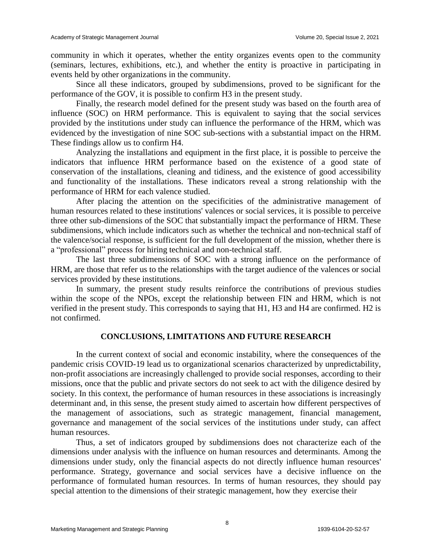community in which it operates, whether the entity organizes events open to the community (seminars, lectures, exhibitions, etc.), and whether the entity is proactive in participating in events held by other organizations in the community.

Since all these indicators, grouped by subdimensions, proved to be significant for the performance of the GOV, it is possible to confirm H3 in the present study.

Finally, the research model defined for the present study was based on the fourth area of influence (SOC) on HRM performance. This is equivalent to saying that the social services provided by the institutions under study can influence the performance of the HRM, which was evidenced by the investigation of nine SOC sub-sections with a substantial impact on the HRM. These findings allow us to confirm H4.

Analyzing the installations and equipment in the first place, it is possible to perceive the indicators that influence HRM performance based on the existence of a good state of conservation of the installations, cleaning and tidiness, and the existence of good accessibility and functionality of the installations. These indicators reveal a strong relationship with the performance of HRM for each valence studied.

After placing the attention on the specificities of the administrative management of human resources related to these institutions' valences or social services, it is possible to perceive three other sub-dimensions of the SOC that substantially impact the performance of HRM. These subdimensions, which include indicators such as whether the technical and non-technical staff of the valence/social response, is sufficient for the full development of the mission, whether there is a "professional" process for hiring technical and non-technical staff.

The last three subdimensions of SOC with a strong influence on the performance of HRM, are those that refer us to the relationships with the target audience of the valences or social services provided by these institutions.

In summary, the present study results reinforce the contributions of previous studies within the scope of the NPOs, except the relationship between FIN and HRM, which is not verified in the present study. This corresponds to saying that H1, H3 and H4 are confirmed. H2 is not confirmed.

# **CONCLUSIONS, LIMITATIONS AND FUTURE RESEARCH**

In the current context of social and economic instability, where the consequences of the pandemic crisis COVID-19 lead us to organizational scenarios characterized by unpredictability, non-profit associations are increasingly challenged to provide social responses, according to their missions, once that the public and private sectors do not seek to act with the diligence desired by society. In this context, the performance of human resources in these associations is increasingly determinant and, in this sense, the present study aimed to ascertain how different perspectives of the management of associations, such as strategic management, financial management, governance and management of the social services of the institutions under study, can affect human resources.

Thus, a set of indicators grouped by subdimensions does not characterize each of the dimensions under analysis with the influence on human resources and determinants. Among the dimensions under study, only the financial aspects do not directly influence human resources' performance. Strategy, governance and social services have a decisive influence on the performance of formulated human resources. In terms of human resources, they should pay special attention to the dimensions of their strategic management, how they exercise their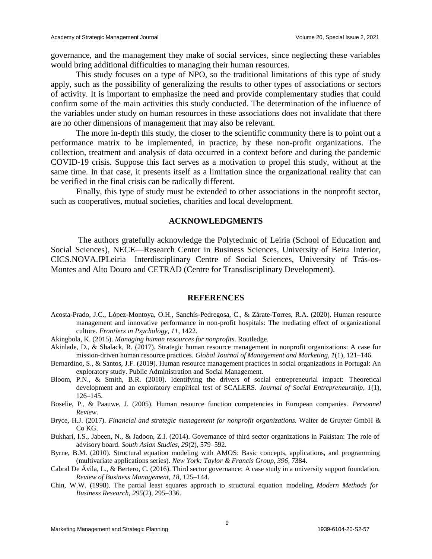governance, and the management they make of social services, since neglecting these variables would bring additional difficulties to managing their human resources.

This study focuses on a type of NPO, so the traditional limitations of this type of study apply, such as the possibility of generalizing the results to other types of associations or sectors of activity. It is important to emphasize the need and provide complementary studies that could confirm some of the main activities this study conducted. The determination of the influence of the variables under study on human resources in these associations does not invalidate that there are no other dimensions of management that may also be relevant.

The more in-depth this study, the closer to the scientific community there is to point out a performance matrix to be implemented, in practice, by these non-profit organizations. The collection, treatment and analysis of data occurred in a context before and during the pandemic COVID-19 crisis. Suppose this fact serves as a motivation to propel this study, without at the same time. In that case, it presents itself as a limitation since the organizational reality that can be verified in the final crisis can be radically different.

Finally, this type of study must be extended to other associations in the nonprofit sector, such as cooperatives, mutual societies, charities and local development.

#### **ACKNOWLEDGMENTS**

The authors gratefully acknowledge the Polytechnic of Leiria (School of Education and Social Sciences), NECE—Research Center in Business Sciences, University of Beira Interior, CICS.NOVA.IPLeiria—Interdisciplinary Centre of Social Sciences, University of Trás-os-Montes and Alto Douro and CETRAD (Centre for Transdisciplinary Development).

#### **REFERENCES**

- Acosta-Prado, J.C., López-Montoya, O.H., Sanchís-Pedregosa, C., & Zárate-Torres, R.A. (2020). Human resource management and innovative performance in non-profit hospitals: The mediating effect of organizational culture. *Frontiers in Psychology*, *11*, 1422.
- Akingbola, K. (2015). *Managing human resources for nonprofits*. Routledge.
- Akinlade, D., & Shalack, R. (2017). Strategic human resource management in nonprofit organizations: A case for mission-driven human resource practices. *Global Journal of Management and Marketing*, *1*(1), 121–146.
- Bernardino, S., & Santos, J.F. (2019). Human resource management practices in social organizations in Portugal: An exploratory study. Public Administration and Social Management.
- Bloom, P.N., & Smith, B.R. (2010). Identifying the drivers of social entrepreneurial impact: Theoretical development and an exploratory empirical test of SCALERS. *Journal of Social Entrepreneurship*, *1*(1), 126–145.
- Boselie, P., & Paauwe, J. (2005). Human resource function competencies in European companies. *Personnel Review*.
- Bryce, H.J. (2017). *Financial and strategic management for nonprofit organizations*. Walter de Gruyter GmbH & Co KG.
- Bukhari, I.S., Jabeen, N., & Jadoon, Z.I. (2014). Governance of third sector organizations in Pakistan: The role of advisory board. *South Asian Studies*, *29*(2), 579–592.
- Byrne, B.M. (2010). Structural equation modeling with AMOS: Basic concepts, applications, and programming (multivariate applications series). *New York: Taylor & Francis Group*, *396*, 7384.
- Cabral De Ávila, L., & Bertero, C. (2016). Third sector governance: A case study in a university support foundation. *Review of Business Management*, *18*, 125–144.
- Chin, W.W. (1998). The partial least squares approach to structural equation modeling. *Modern Methods for Business Research*, *295*(2), 295–336.